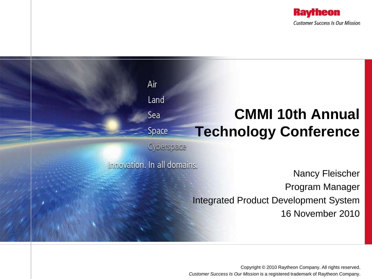



Copyright © 2010 Raytheon Company. All rights reserved. *Customer Success Is Our Mission* is a registered trademark of Raytheon Company.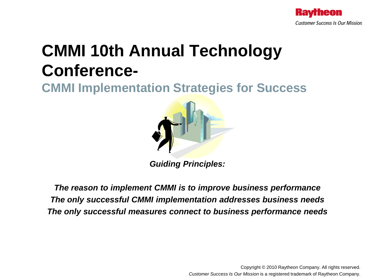

# **CMMI 10th Annual Technology Conference-**

**CMMI Implementation Strategies for Success**



*Guiding Principles:*

*The reason to implement CMMI is to improve business performance The only successful CMMI implementation addresses business needs The only successful measures connect to business performance needs*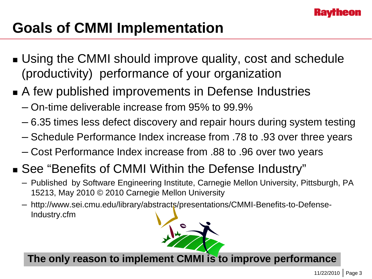

# **Goals of CMMI Implementation**

- Using the CMMI should improve quality, cost and schedule (productivity) performance of your organization
- A few published improvements in Defense Industries
	- On-time deliverable increase from 95% to 99.9%
	- 6.35 times less defect discovery and repair hours during system testing
	- Schedule Performance Index increase from .78 to .93 over three years
	- Cost Performance Index increase from .88 to .96 over two years
- See "Benefits of CMMI Within the Defense Industry"
	- Published by Software Engineering Institute, Carnegie Mellon University, Pittsburgh, PA 15213, May 2010 © 2010 Carnegie Mellon University
	- http://www.sei.cmu.edu/library/abstracts/presentations/CMMI-Benefits-to-Defense-Industry.cfm



**The only reason to implement CMMI is to improve performance**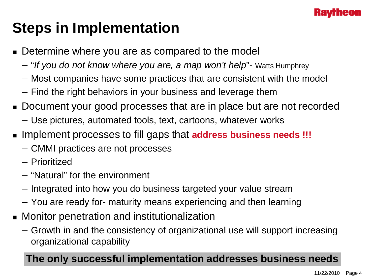

# **Steps in Implementation**

- Determine where you are as compared to the model
	- "*If you do not know where you are, a map won't help*"- Watts Humphrey
	- Most companies have some practices that are consistent with the model
	- Find the right behaviors in your business and leverage them
- Document your good processes that are in place but are not recorded
	- Use pictures, automated tools, text, cartoons, whatever works
- Implement processes to fill gaps that **address business needs !!!**
	- CMMI practices are not processes
	- Prioritized
	- "Natural" for the environment
	- Integrated into how you do business targeted your value stream
	- You are ready for- maturity means experiencing and then learning
- Monitor penetration and institutionalization
	- Growth in and the consistency of organizational use will support increasing organizational capability

### **The only successful implementation addresses business needs**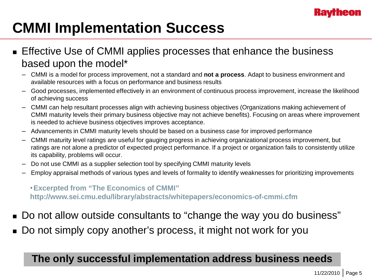

# **CMMI Implementation Success**

#### **Effective Use of CMMI applies processes that enhance the business** based upon the model\*

- CMMI is a model for process improvement, not a standard and **not a process**. Adapt to business environment and available resources with a focus on performance and business results
- Good processes, implemented effectively in an environment of continuous process improvement, increase the likelihood of achieving success
- CMMI can help resultant processes align with achieving business objectives (Organizations making achievement of CMMI maturity levels their primary business objective may not achieve benefits). Focusing on areas where improvement is needed to achieve business objectives improves acceptance.
- Advancements in CMMI maturity levels should be based on a business case for improved performance
- CMMI maturity level ratings are useful for gauging progress in achieving organizational process improvement, but ratings are not alone a predictor of expected project performance. If a project or organization fails to consistently utilize its capability, problems will occur.
- Do not use CMMI as a supplier selection tool by specifying CMMI maturity levels
- Employ appraisal methods of various types and levels of formality to identify weaknesses for prioritizing improvements

*\** **Excerpted from "The Economics of CMMI" http://www.sei.cmu.edu/library/abstracts/whitepapers/economics-of-cmmi.cfm**

- Do not allow outside consultants to "change the way you do business"
- Do not simply copy another's process, it might not work for you

### **The only successful implementation address business needs**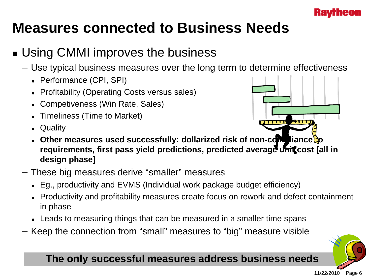

## **Measures connected to Business Needs**

### **■ Using CMMI improves the business**

- Use typical business measures over the long term to determine effectiveness
	- Performance (CPI, SPI)
	- Profitability (Operating Costs versus sales)
	- Competiveness (Win Rate, Sales)
	- Timeliness (Time to Market)
	- Quality



- **Other measures used successfully: dollarized risk of non-compliance to** requirements, first pass yield predictions, predicted average unicost [all in **design phase]**
- These big measures derive "smaller" measures
	- Eg., productivity and EVMS (Individual work package budget efficiency)
	- Productivity and profitability measures create focus on rework and defect containment in phase
	- Leads to measuring things that can be measured in a smaller time spans
- Keep the connection from "small" measures to "big" measure visible

#### **The only successful measures address business needs**

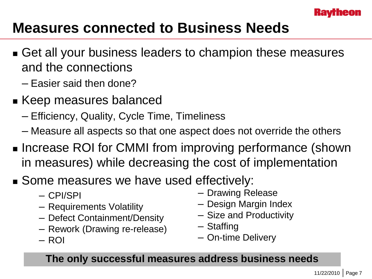

## **Measures connected to Business Needs**

- Get all your business leaders to champion these measures and the connections
	- Easier said then done?
- Keep measures balanced
	- Efficiency, Quality, Cycle Time, Timeliness
	- Measure all aspects so that one aspect does not override the others
- **Increase ROI for CMMI from improving performance (shown** in measures) while decreasing the cost of implementation
- Some measures we have used effectively:
	- CPI/SPI
	- Requirements Volatility
	- Defect Containment/Density
	- Rework (Drawing re-release)
	- ROI
- Drawing Release
- Design Margin Index
- Size and Productivity
- Staffing
- On-time Delivery

### **The only successful measures address business needs**